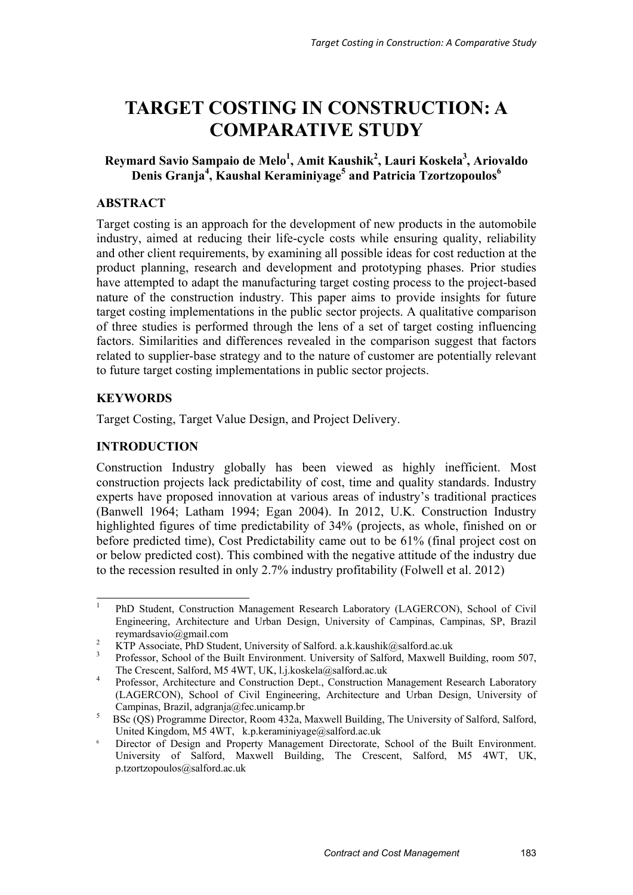# **TARGET COSTING IN CONSTRUCTION: A COMPARATIVE STUDY**

# **Reymard Savio Sampaio de Melo1 , Amit Kaushik<sup>2</sup> , Lauri Koskela3 , Ariovaldo Denis Granja4 , Kaushal Keraminiyage<sup>5</sup> and Patricia Tzortzopoulos6**

# **ABSTRACT**

Target costing is an approach for the development of new products in the automobile industry, aimed at reducing their life-cycle costs while ensuring quality, reliability and other client requirements, by examining all possible ideas for cost reduction at the product planning, research and development and prototyping phases. Prior studies have attempted to adapt the manufacturing target costing process to the project-based nature of the construction industry. This paper aims to provide insights for future target costing implementations in the public sector projects. A qualitative comparison of three studies is performed through the lens of a set of target costing influencing factors. Similarities and differences revealed in the comparison suggest that factors related to supplier-base strategy and to the nature of customer are potentially relevant to future target costing implementations in public sector projects.

# **KEYWORDS**

Target Costing, Target Value Design, and Project Delivery.

# **INTRODUCTION**

Construction Industry globally has been viewed as highly inefficient. Most construction projects lack predictability of cost, time and quality standards. Industry experts have proposed innovation at various areas of industry's traditional practices (Banwell 1964; Latham 1994; Egan 2004). In 2012, U.K. Construction Industry highlighted figures of time predictability of 34% (projects, as whole, finished on or before predicted time), Cost Predictability came out to be 61% (final project cost on or below predicted cost). This combined with the negative attitude of the industry due to the recession resulted in only 2.7% industry profitability (Folwell et al. 2012)

 $\frac{1}{1}$  PhD Student, Construction Management Research Laboratory (LAGERCON), School of Civil Engineering, Architecture and Urban Design, University of Campinas, Campinas, SP, Brazil reymardsavio@gmail.com

KTP Associate, PhD Student, University of Salford. a.k.kaushik@salford.ac.uk

<sup>3</sup> Professor, School of the Built Environment. University of Salford, Maxwell Building, room 507, The Crescent, Salford, M5 4WT, UK, l.j.koskela@salford.ac.uk 4

Professor, Architecture and Construction Dept., Construction Management Research Laboratory (LAGERCON), School of Civil Engineering, Architecture and Urban Design, University of Campinas, Brazil, adgranja@fec.unicamp.br<br>
<sup>5</sup> BSc (QS) Programme Director, Room 432a, Maxwell Building, The University of Salford, Salford,

United Kingdom, M5 4WT, k.p.keraminiyage@salford.ac.uk<br><sup>6</sup> Director of Design and Property Management Directorate

Director of Design and Property Management Directorate, School of the Built Environment. University of Salford, Maxwell Building, The Crescent, Salford, M5 4WT, UK, p.tzortzopoulos@salford.ac.uk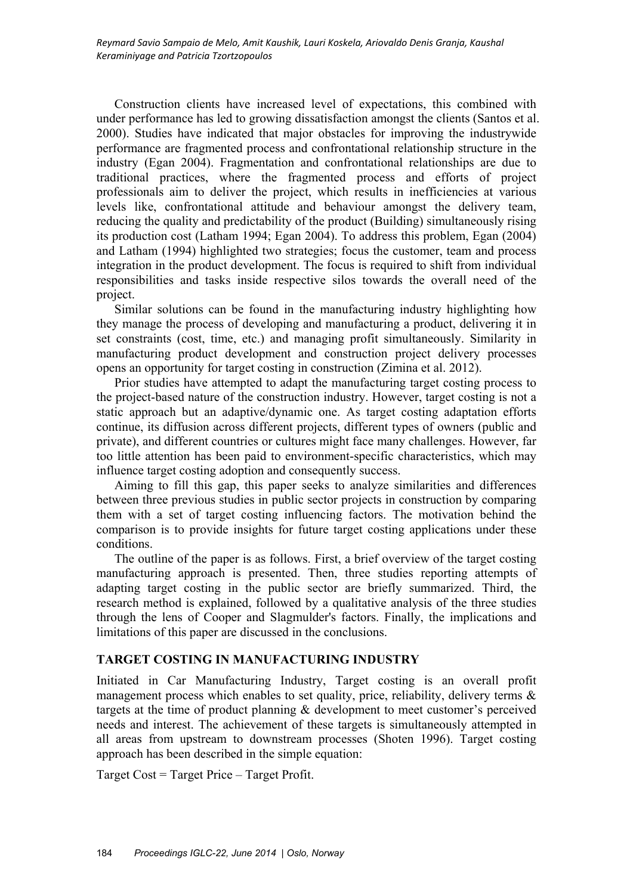Construction clients have increased level of expectations, this combined with under performance has led to growing dissatisfaction amongst the clients (Santos et al. 2000). Studies have indicated that major obstacles for improving the industrywide performance are fragmented process and confrontational relationship structure in the industry (Egan 2004). Fragmentation and confrontational relationships are due to traditional practices, where the fragmented process and efforts of project professionals aim to deliver the project, which results in inefficiencies at various levels like, confrontational attitude and behaviour amongst the delivery team, reducing the quality and predictability of the product (Building) simultaneously rising its production cost (Latham 1994; Egan 2004). To address this problem, Egan (2004) and Latham (1994) highlighted two strategies; focus the customer, team and process integration in the product development. The focus is required to shift from individual responsibilities and tasks inside respective silos towards the overall need of the project.

Similar solutions can be found in the manufacturing industry highlighting how they manage the process of developing and manufacturing a product, delivering it in set constraints (cost, time, etc.) and managing profit simultaneously. Similarity in manufacturing product development and construction project delivery processes opens an opportunity for target costing in construction (Zimina et al. 2012).

Prior studies have attempted to adapt the manufacturing target costing process to the project-based nature of the construction industry. However, target costing is not a static approach but an adaptive/dynamic one. As target costing adaptation efforts continue, its diffusion across different projects, different types of owners (public and private), and different countries or cultures might face many challenges. However, far too little attention has been paid to environment-specific characteristics, which may influence target costing adoption and consequently success.

Aiming to fill this gap, this paper seeks to analyze similarities and differences between three previous studies in public sector projects in construction by comparing them with a set of target costing influencing factors. The motivation behind the comparison is to provide insights for future target costing applications under these conditions.

The outline of the paper is as follows. First, a brief overview of the target costing manufacturing approach is presented. Then, three studies reporting attempts of adapting target costing in the public sector are briefly summarized. Third, the research method is explained, followed by a qualitative analysis of the three studies through the lens of Cooper and Slagmulder's factors. Finally, the implications and limitations of this paper are discussed in the conclusions.

# **TARGET COSTING IN MANUFACTURING INDUSTRY**

Initiated in Car Manufacturing Industry, Target costing is an overall profit management process which enables to set quality, price, reliability, delivery terms  $\&$ targets at the time of product planning & development to meet customer's perceived needs and interest. The achievement of these targets is simultaneously attempted in all areas from upstream to downstream processes (Shoten 1996). Target costing approach has been described in the simple equation:

Target Cost = Target Price – Target Profit.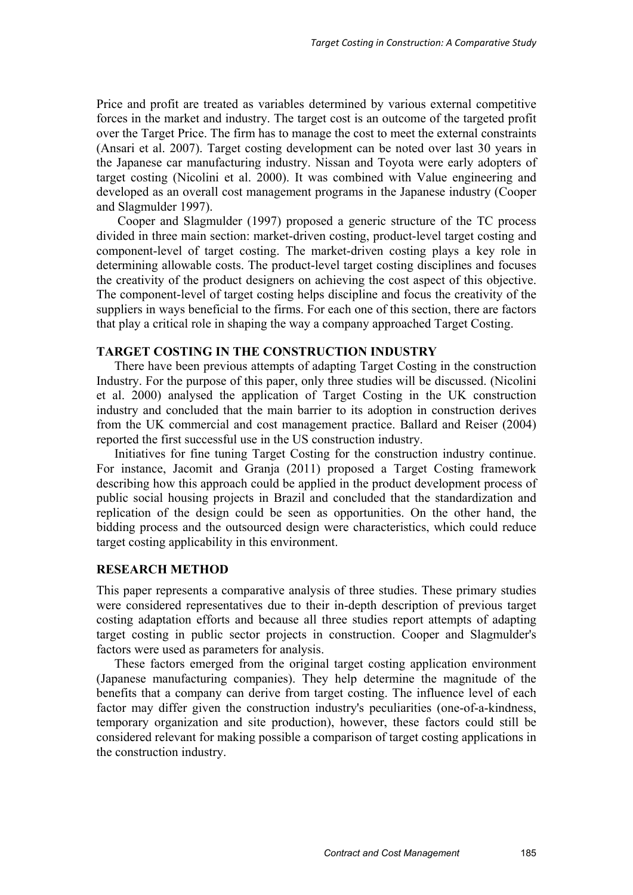Price and profit are treated as variables determined by various external competitive forces in the market and industry. The target cost is an outcome of the targeted profit over the Target Price. The firm has to manage the cost to meet the external constraints (Ansari et al. 2007). Target costing development can be noted over last 30 years in the Japanese car manufacturing industry. Nissan and Toyota were early adopters of target costing (Nicolini et al. 2000). It was combined with Value engineering and developed as an overall cost management programs in the Japanese industry (Cooper and Slagmulder 1997).

 Cooper and Slagmulder (1997) proposed a generic structure of the TC process divided in three main section: market-driven costing, product-level target costing and component-level of target costing. The market-driven costing plays a key role in determining allowable costs. The product-level target costing disciplines and focuses the creativity of the product designers on achieving the cost aspect of this objective. The component-level of target costing helps discipline and focus the creativity of the suppliers in ways beneficial to the firms. For each one of this section, there are factors that play a critical role in shaping the way a company approached Target Costing.

#### **TARGET COSTING IN THE CONSTRUCTION INDUSTRY**

There have been previous attempts of adapting Target Costing in the construction Industry. For the purpose of this paper, only three studies will be discussed. (Nicolini et al. 2000) analysed the application of Target Costing in the UK construction industry and concluded that the main barrier to its adoption in construction derives from the UK commercial and cost management practice. Ballard and Reiser (2004) reported the first successful use in the US construction industry.

Initiatives for fine tuning Target Costing for the construction industry continue. For instance, Jacomit and Granja (2011) proposed a Target Costing framework describing how this approach could be applied in the product development process of public social housing projects in Brazil and concluded that the standardization and replication of the design could be seen as opportunities. On the other hand, the bidding process and the outsourced design were characteristics, which could reduce target costing applicability in this environment.

#### **RESEARCH METHOD**

This paper represents a comparative analysis of three studies. These primary studies were considered representatives due to their in-depth description of previous target costing adaptation efforts and because all three studies report attempts of adapting target costing in public sector projects in construction. Cooper and Slagmulder's factors were used as parameters for analysis.

These factors emerged from the original target costing application environment (Japanese manufacturing companies). They help determine the magnitude of the benefits that a company can derive from target costing. The influence level of each factor may differ given the construction industry's peculiarities (one-of-a-kindness, temporary organization and site production), however, these factors could still be considered relevant for making possible a comparison of target costing applications in the construction industry.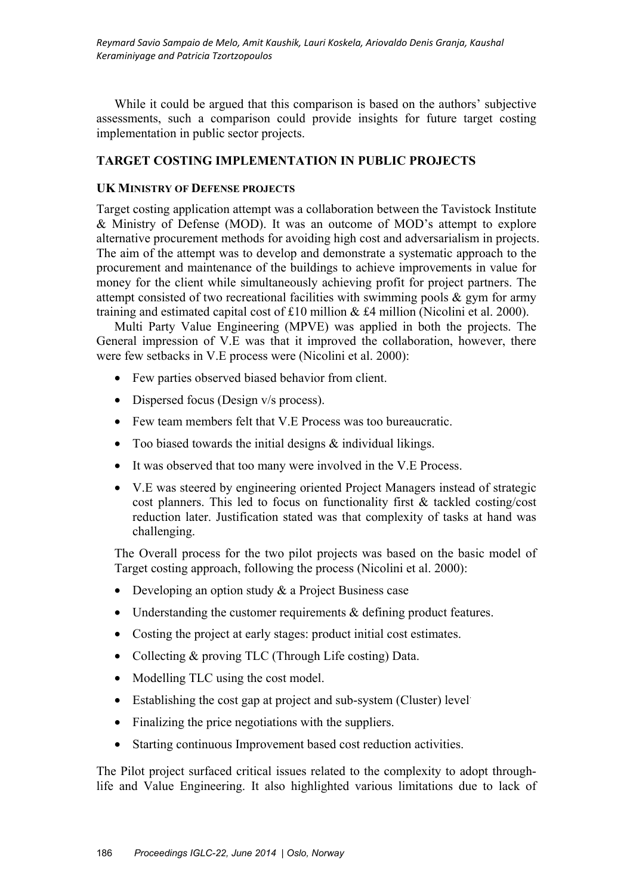While it could be argued that this comparison is based on the authors' subjective assessments, such a comparison could provide insights for future target costing implementation in public sector projects.

## **TARGET COSTING IMPLEMENTATION IN PUBLIC PROJECTS**

#### **UK MINISTRY OF DEFENSE PROJECTS**

Target costing application attempt was a collaboration between the Tavistock Institute & Ministry of Defense (MOD). It was an outcome of MOD's attempt to explore alternative procurement methods for avoiding high cost and adversarialism in projects. The aim of the attempt was to develop and demonstrate a systematic approach to the procurement and maintenance of the buildings to achieve improvements in value for money for the client while simultaneously achieving profit for project partners. The attempt consisted of two recreational facilities with swimming pools & gym for army training and estimated capital cost of £10 million  $& \text{\pounds}4$  million (Nicolini et al. 2000).

Multi Party Value Engineering (MPVE) was applied in both the projects. The General impression of V.E was that it improved the collaboration, however, there were few setbacks in V.E process were (Nicolini et al. 2000):

- Few parties observed biased behavior from client.
- Dispersed focus (Design v/s process).
- Few team members felt that V.E Process was too bureaucratic.
- Too biased towards the initial designs  $\&$  individual likings.
- It was observed that too many were involved in the V.E Process.
- V.E was steered by engineering oriented Project Managers instead of strategic cost planners. This led to focus on functionality first & tackled costing/cost reduction later. Justification stated was that complexity of tasks at hand was challenging.

The Overall process for the two pilot projects was based on the basic model of Target costing approach, following the process (Nicolini et al. 2000):

- Developing an option study & a Project Business case
- Understanding the customer requirements & defining product features.
- Costing the project at early stages: product initial cost estimates.
- Collecting & proving TLC (Through Life costing) Data.
- Modelling TLC using the cost model.
- Establishing the cost gap at project and sub-system (Cluster) level.
- Finalizing the price negotiations with the suppliers.
- Starting continuous Improvement based cost reduction activities.

The Pilot project surfaced critical issues related to the complexity to adopt throughlife and Value Engineering. It also highlighted various limitations due to lack of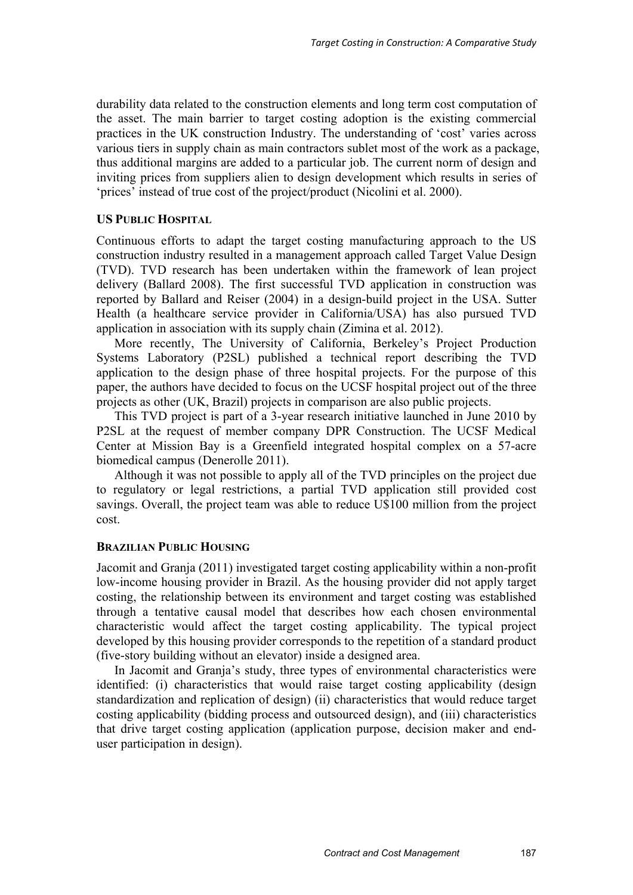durability data related to the construction elements and long term cost computation of the asset. The main barrier to target costing adoption is the existing commercial practices in the UK construction Industry. The understanding of 'cost' varies across various tiers in supply chain as main contractors sublet most of the work as a package, thus additional margins are added to a particular job. The current norm of design and inviting prices from suppliers alien to design development which results in series of 'prices' instead of true cost of the project/product (Nicolini et al. 2000).

#### **US PUBLIC HOSPITAL**

Continuous efforts to adapt the target costing manufacturing approach to the US construction industry resulted in a management approach called Target Value Design (TVD). TVD research has been undertaken within the framework of lean project delivery (Ballard 2008). The first successful TVD application in construction was reported by Ballard and Reiser (2004) in a design-build project in the USA. Sutter Health (a healthcare service provider in California/USA) has also pursued TVD application in association with its supply chain (Zimina et al. 2012).

More recently, The University of California, Berkeley's Project Production Systems Laboratory (P2SL) published a technical report describing the TVD application to the design phase of three hospital projects. For the purpose of this paper, the authors have decided to focus on the UCSF hospital project out of the three projects as other (UK, Brazil) projects in comparison are also public projects.

This TVD project is part of a 3-year research initiative launched in June 2010 by P2SL at the request of member company DPR Construction. The UCSF Medical Center at Mission Bay is a Greenfield integrated hospital complex on a 57-acre biomedical campus (Denerolle 2011).

Although it was not possible to apply all of the TVD principles on the project due to regulatory or legal restrictions, a partial TVD application still provided cost savings. Overall, the project team was able to reduce U\$100 million from the project cost.

#### **BRAZILIAN PUBLIC HOUSING**

Jacomit and Granja (2011) investigated target costing applicability within a non-profit low-income housing provider in Brazil. As the housing provider did not apply target costing, the relationship between its environment and target costing was established through a tentative causal model that describes how each chosen environmental characteristic would affect the target costing applicability. The typical project developed by this housing provider corresponds to the repetition of a standard product (five-story building without an elevator) inside a designed area.

In Jacomit and Granja's study, three types of environmental characteristics were identified: (i) characteristics that would raise target costing applicability (design standardization and replication of design) (ii) characteristics that would reduce target costing applicability (bidding process and outsourced design), and (iii) characteristics that drive target costing application (application purpose, decision maker and enduser participation in design).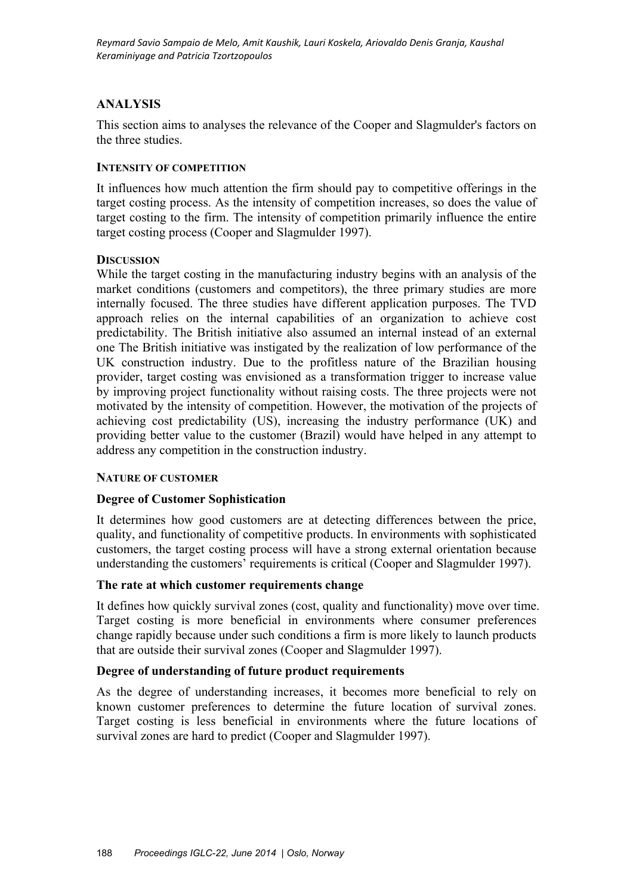## **ANALYSIS**

This section aims to analyses the relevance of the Cooper and Slagmulder's factors on the three studies.

## **INTENSITY OF COMPETITION**

It influences how much attention the firm should pay to competitive offerings in the target costing process. As the intensity of competition increases, so does the value of target costing to the firm. The intensity of competition primarily influence the entire target costing process (Cooper and Slagmulder 1997).

## **DISCUSSION**

While the target costing in the manufacturing industry begins with an analysis of the market conditions (customers and competitors), the three primary studies are more internally focused. The three studies have different application purposes. The TVD approach relies on the internal capabilities of an organization to achieve cost predictability. The British initiative also assumed an internal instead of an external one The British initiative was instigated by the realization of low performance of the UK construction industry. Due to the profitless nature of the Brazilian housing provider, target costing was envisioned as a transformation trigger to increase value by improving project functionality without raising costs. The three projects were not motivated by the intensity of competition. However, the motivation of the projects of achieving cost predictability (US), increasing the industry performance (UK) and providing better value to the customer (Brazil) would have helped in any attempt to address any competition in the construction industry.

## **NATURE OF CUSTOMER**

## **Degree of Customer Sophistication**

It determines how good customers are at detecting differences between the price, quality, and functionality of competitive products. In environments with sophisticated customers, the target costing process will have a strong external orientation because understanding the customers' requirements is critical (Cooper and Slagmulder 1997).

## **The rate at which customer requirements change**

It defines how quickly survival zones (cost, quality and functionality) move over time. Target costing is more beneficial in environments where consumer preferences change rapidly because under such conditions a firm is more likely to launch products that are outside their survival zones (Cooper and Slagmulder 1997).

#### **Degree of understanding of future product requirements**

As the degree of understanding increases, it becomes more beneficial to rely on known customer preferences to determine the future location of survival zones. Target costing is less beneficial in environments where the future locations of survival zones are hard to predict (Cooper and Slagmulder 1997).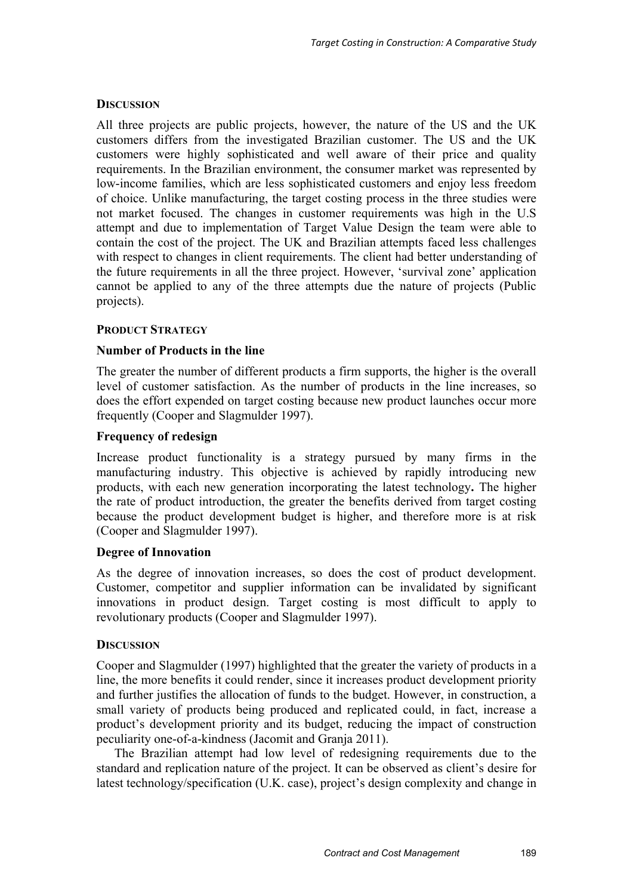## **DISCUSSION**

All three projects are public projects, however, the nature of the US and the UK customers differs from the investigated Brazilian customer. The US and the UK customers were highly sophisticated and well aware of their price and quality requirements. In the Brazilian environment, the consumer market was represented by low-income families, which are less sophisticated customers and enjoy less freedom of choice. Unlike manufacturing, the target costing process in the three studies were not market focused. The changes in customer requirements was high in the U.S attempt and due to implementation of Target Value Design the team were able to contain the cost of the project. The UK and Brazilian attempts faced less challenges with respect to changes in client requirements. The client had better understanding of the future requirements in all the three project. However, 'survival zone' application cannot be applied to any of the three attempts due the nature of projects (Public projects).

## **PRODUCT STRATEGY**

## **Number of Products in the line**

The greater the number of different products a firm supports, the higher is the overall level of customer satisfaction. As the number of products in the line increases, so does the effort expended on target costing because new product launches occur more frequently (Cooper and Slagmulder 1997).

## **Frequency of redesign**

Increase product functionality is a strategy pursued by many firms in the manufacturing industry. This objective is achieved by rapidly introducing new products, with each new generation incorporating the latest technology**.** The higher the rate of product introduction, the greater the benefits derived from target costing because the product development budget is higher, and therefore more is at risk (Cooper and Slagmulder 1997).

#### **Degree of Innovation**

As the degree of innovation increases, so does the cost of product development. Customer, competitor and supplier information can be invalidated by significant innovations in product design. Target costing is most difficult to apply to revolutionary products (Cooper and Slagmulder 1997).

#### **DISCUSSION**

Cooper and Slagmulder (1997) highlighted that the greater the variety of products in a line, the more benefits it could render, since it increases product development priority and further justifies the allocation of funds to the budget. However, in construction, a small variety of products being produced and replicated could, in fact, increase a product's development priority and its budget, reducing the impact of construction peculiarity one-of-a-kindness (Jacomit and Granja 2011).

The Brazilian attempt had low level of redesigning requirements due to the standard and replication nature of the project. It can be observed as client's desire for latest technology/specification (U.K. case), project's design complexity and change in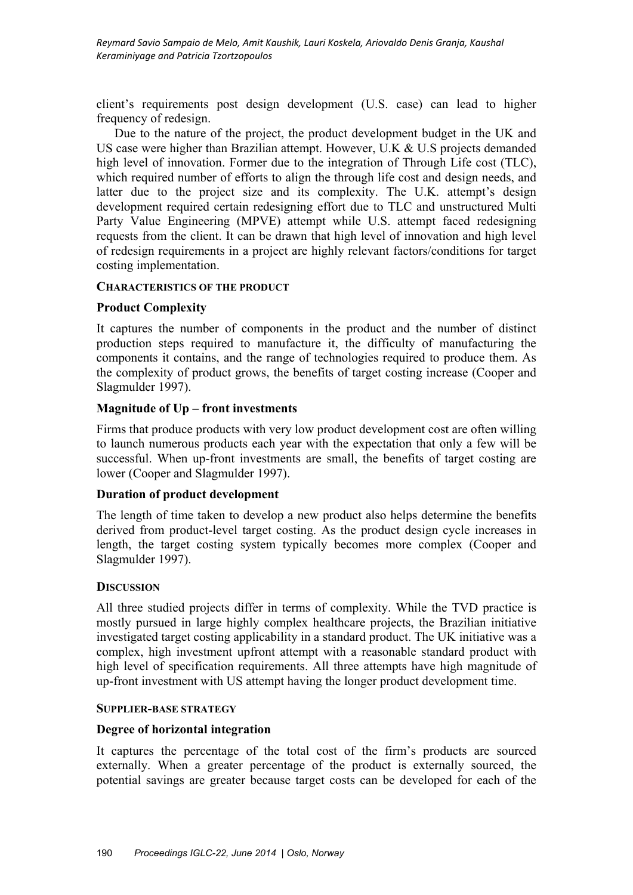client's requirements post design development (U.S. case) can lead to higher frequency of redesign.

Due to the nature of the project, the product development budget in the UK and US case were higher than Brazilian attempt. However, U.K & U.S projects demanded high level of innovation. Former due to the integration of Through Life cost (TLC), which required number of efforts to align the through life cost and design needs, and latter due to the project size and its complexity. The U.K. attempt's design development required certain redesigning effort due to TLC and unstructured Multi Party Value Engineering (MPVE) attempt while U.S. attempt faced redesigning requests from the client. It can be drawn that high level of innovation and high level of redesign requirements in a project are highly relevant factors/conditions for target costing implementation.

#### **CHARACTERISTICS OF THE PRODUCT**

#### **Product Complexity**

It captures the number of components in the product and the number of distinct production steps required to manufacture it, the difficulty of manufacturing the components it contains, and the range of technologies required to produce them. As the complexity of product grows, the benefits of target costing increase (Cooper and Slagmulder 1997).

## **Magnitude of Up – front investments**

Firms that produce products with very low product development cost are often willing to launch numerous products each year with the expectation that only a few will be successful. When up-front investments are small, the benefits of target costing are lower (Cooper and Slagmulder 1997).

#### **Duration of product development**

The length of time taken to develop a new product also helps determine the benefits derived from product-level target costing. As the product design cycle increases in length, the target costing system typically becomes more complex (Cooper and Slagmulder 1997).

#### **DISCUSSION**

All three studied projects differ in terms of complexity. While the TVD practice is mostly pursued in large highly complex healthcare projects, the Brazilian initiative investigated target costing applicability in a standard product. The UK initiative was a complex, high investment upfront attempt with a reasonable standard product with high level of specification requirements. All three attempts have high magnitude of up-front investment with US attempt having the longer product development time.

#### **SUPPLIER-BASE STRATEGY**

## **Degree of horizontal integration**

It captures the percentage of the total cost of the firm's products are sourced externally. When a greater percentage of the product is externally sourced, the potential savings are greater because target costs can be developed for each of the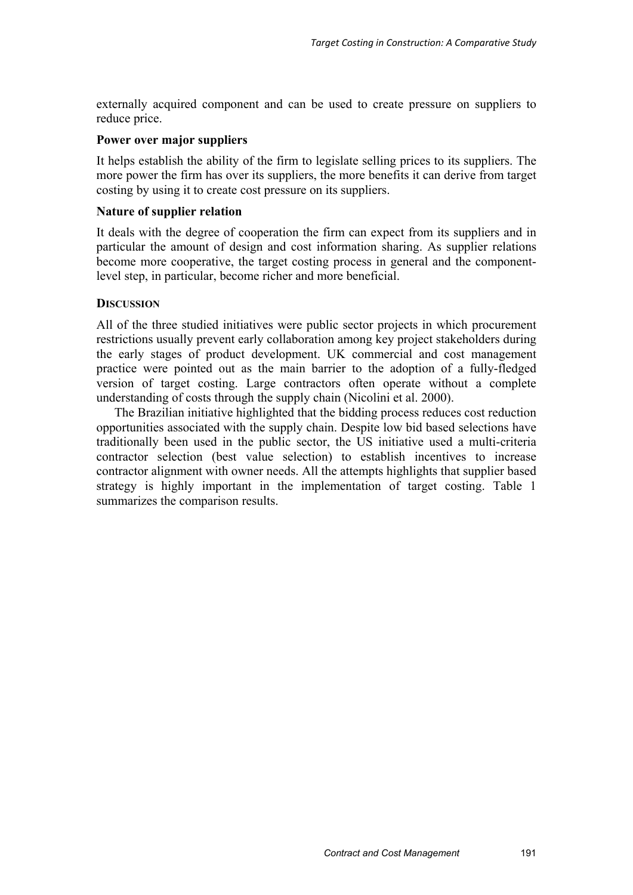externally acquired component and can be used to create pressure on suppliers to reduce price.

## **Power over major suppliers**

It helps establish the ability of the firm to legislate selling prices to its suppliers. The more power the firm has over its suppliers, the more benefits it can derive from target costing by using it to create cost pressure on its suppliers.

## **Nature of supplier relation**

It deals with the degree of cooperation the firm can expect from its suppliers and in particular the amount of design and cost information sharing. As supplier relations become more cooperative, the target costing process in general and the componentlevel step, in particular, become richer and more beneficial.

#### **DISCUSSION**

All of the three studied initiatives were public sector projects in which procurement restrictions usually prevent early collaboration among key project stakeholders during the early stages of product development. UK commercial and cost management practice were pointed out as the main barrier to the adoption of a fully-fledged version of target costing. Large contractors often operate without a complete understanding of costs through the supply chain (Nicolini et al. 2000).

The Brazilian initiative highlighted that the bidding process reduces cost reduction opportunities associated with the supply chain. Despite low bid based selections have traditionally been used in the public sector, the US initiative used a multi-criteria contractor selection (best value selection) to establish incentives to increase contractor alignment with owner needs. All the attempts highlights that supplier based strategy is highly important in the implementation of target costing. Table 1 summarizes the comparison results.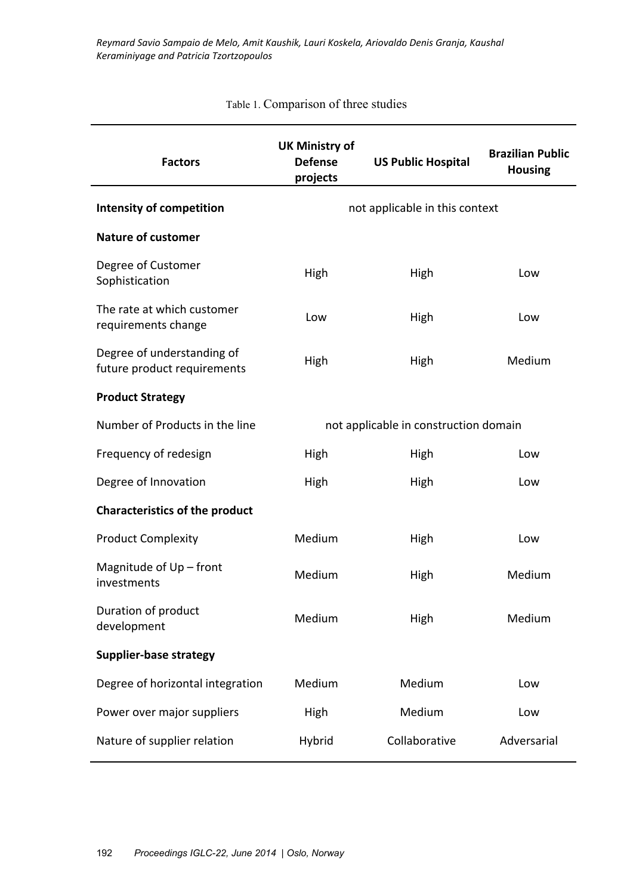| <b>Factors</b>                                            | <b>UK Ministry of</b><br><b>Defense</b><br>projects | <b>US Public Hospital</b> | <b>Brazilian Public</b><br><b>Housing</b> |
|-----------------------------------------------------------|-----------------------------------------------------|---------------------------|-------------------------------------------|
| <b>Intensity of competition</b>                           | not applicable in this context                      |                           |                                           |
| <b>Nature of customer</b>                                 |                                                     |                           |                                           |
| Degree of Customer<br>Sophistication                      | High                                                | High                      | Low                                       |
| The rate at which customer<br>requirements change         | Low                                                 | High                      | Low                                       |
| Degree of understanding of<br>future product requirements | High                                                | High                      | Medium                                    |
| <b>Product Strategy</b>                                   |                                                     |                           |                                           |
| Number of Products in the line                            | not applicable in construction domain               |                           |                                           |
| Frequency of redesign                                     | High                                                | High                      | Low                                       |
| Degree of Innovation                                      | High                                                | High                      | Low                                       |
| <b>Characteristics of the product</b>                     |                                                     |                           |                                           |
| <b>Product Complexity</b>                                 | Medium                                              | High                      | Low                                       |
| Magnitude of Up - front<br>investments                    | Medium                                              | High                      | Medium                                    |
| Duration of product<br>development                        | Medium                                              | High                      | Medium                                    |
| <b>Supplier-base strategy</b>                             |                                                     |                           |                                           |
| Degree of horizontal integration                          | Medium                                              | Medium                    | Low                                       |
| Power over major suppliers                                | High                                                | Medium                    | Low                                       |
| Nature of supplier relation                               | Hybrid                                              | Collaborative             | Adversarial                               |

# Table 1. Comparison of three studies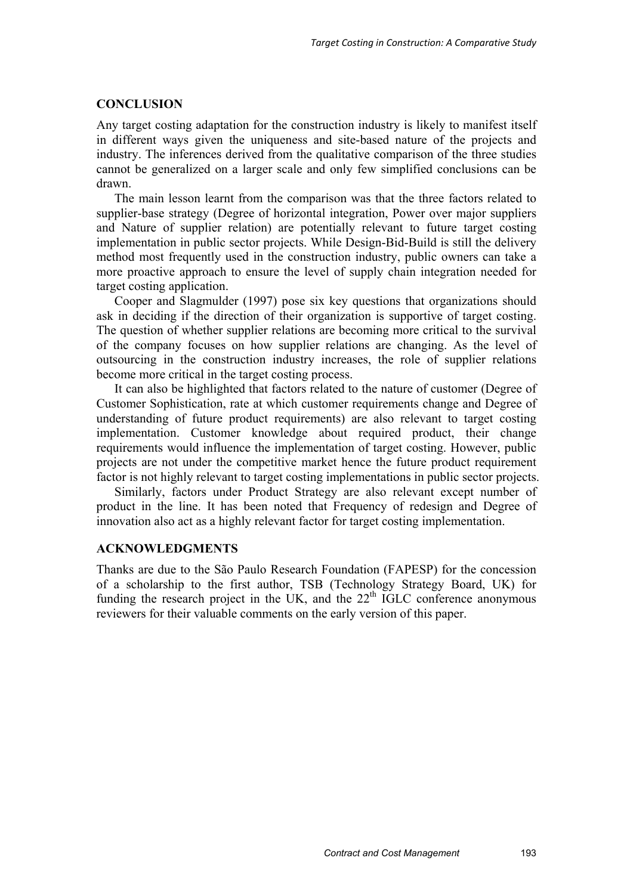#### **CONCLUSION**

Any target costing adaptation for the construction industry is likely to manifest itself in different ways given the uniqueness and site-based nature of the projects and industry. The inferences derived from the qualitative comparison of the three studies cannot be generalized on a larger scale and only few simplified conclusions can be drawn.

The main lesson learnt from the comparison was that the three factors related to supplier-base strategy (Degree of horizontal integration, Power over major suppliers and Nature of supplier relation) are potentially relevant to future target costing implementation in public sector projects. While Design-Bid-Build is still the delivery method most frequently used in the construction industry, public owners can take a more proactive approach to ensure the level of supply chain integration needed for target costing application.

Cooper and Slagmulder (1997) pose six key questions that organizations should ask in deciding if the direction of their organization is supportive of target costing. The question of whether supplier relations are becoming more critical to the survival of the company focuses on how supplier relations are changing. As the level of outsourcing in the construction industry increases, the role of supplier relations become more critical in the target costing process.

It can also be highlighted that factors related to the nature of customer (Degree of Customer Sophistication, rate at which customer requirements change and Degree of understanding of future product requirements) are also relevant to target costing implementation. Customer knowledge about required product, their change requirements would influence the implementation of target costing. However, public projects are not under the competitive market hence the future product requirement factor is not highly relevant to target costing implementations in public sector projects.

Similarly, factors under Product Strategy are also relevant except number of product in the line. It has been noted that Frequency of redesign and Degree of innovation also act as a highly relevant factor for target costing implementation.

#### **ACKNOWLEDGMENTS**

Thanks are due to the São Paulo Research Foundation (FAPESP) for the concession of a scholarship to the first author, TSB (Technology Strategy Board, UK) for funding the research project in the UK, and the  $22<sup>th</sup>$  IGLC conference anonymous reviewers for their valuable comments on the early version of this paper.